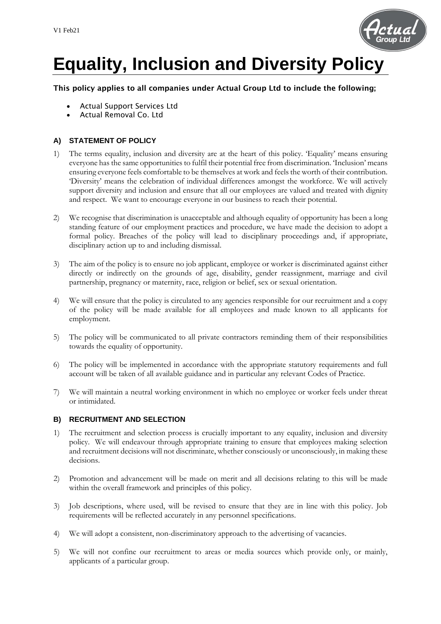

# **Equality, Inclusion and Diversity Policy**

This policy applies to all companies under Actual Group Ltd to include the following;

- Actual Support Services Ltd
- Actual Removal Co. Ltd

### **A) STATEMENT OF POLICY**

- 1) The terms equality, inclusion and diversity are at the heart of this policy. 'Equality' means ensuring everyone has the same opportunities to fulfil their potential free from discrimination. 'Inclusion' means ensuring everyone feels comfortable to be themselves at work and feels the worth of their contribution. 'Diversity' means the celebration of individual differences amongst the workforce. We will actively support diversity and inclusion and ensure that all our employees are valued and treated with dignity and respect. We want to encourage everyone in our business to reach their potential.
- 2) We recognise that discrimination is unacceptable and although equality of opportunity has been a long standing feature of our employment practices and procedure, we have made the decision to adopt a formal policy. Breaches of the policy will lead to disciplinary proceedings and, if appropriate, disciplinary action up to and including dismissal.
- 3) The aim of the policy is to ensure no job applicant, employee or worker is discriminated against either directly or indirectly on the grounds of age, disability, gender reassignment, marriage and civil partnership, pregnancy or maternity, race, religion or belief, sex or sexual orientation.
- 4) We will ensure that the policy is circulated to any agencies responsible for our recruitment and a copy of the policy will be made available for all employees and made known to all applicants for employment.
- 5) The policy will be communicated to all private contractors reminding them of their responsibilities towards the equality of opportunity.
- 6) The policy will be implemented in accordance with the appropriate statutory requirements and full account will be taken of all available guidance and in particular any relevant Codes of Practice.
- 7) We will maintain a neutral working environment in which no employee or worker feels under threat or intimidated.

#### **B) RECRUITMENT AND SELECTION**

- 1) The recruitment and selection process is crucially important to any equality, inclusion and diversity policy. We will endeavour through appropriate training to ensure that employees making selection and recruitment decisions will not discriminate, whether consciously or unconsciously, in making these decisions.
- 2) Promotion and advancement will be made on merit and all decisions relating to this will be made within the overall framework and principles of this policy.
- 3) Job descriptions, where used, will be revised to ensure that they are in line with this policy. Job requirements will be reflected accurately in any personnel specifications.
- 4) We will adopt a consistent, non-discriminatory approach to the advertising of vacancies.
- 5) We will not confine our recruitment to areas or media sources which provide only, or mainly, applicants of a particular group.